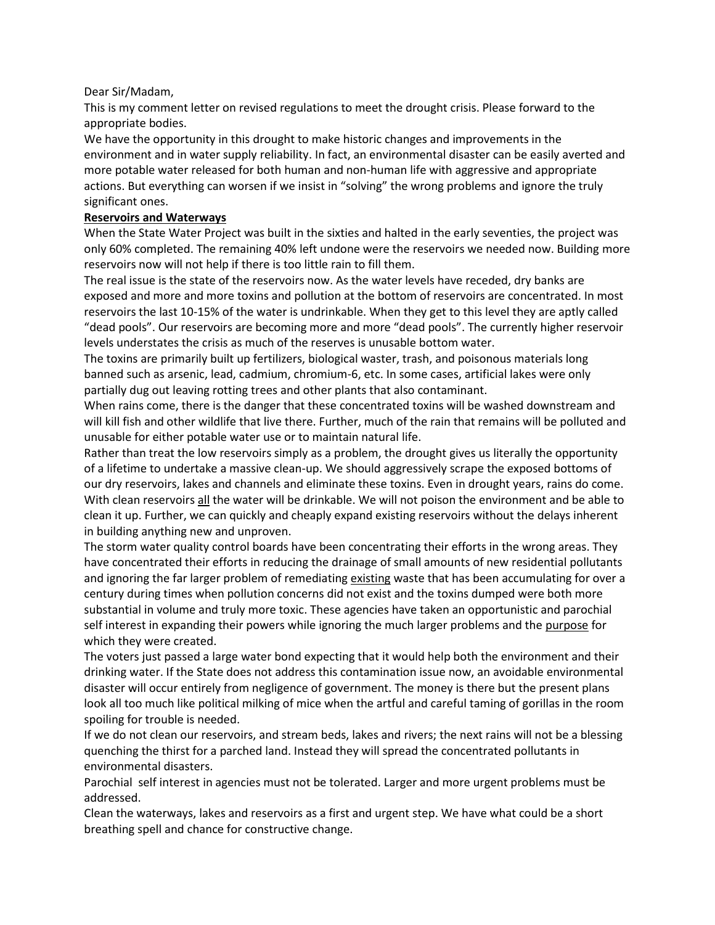## Dear Sir/Madam,

This is my comment letter on revised regulations to meet the drought crisis. Please forward to the appropriate bodies.

We have the opportunity in this drought to make historic changes and improvements in the environment and in water supply reliability. In fact, an environmental disaster can be easily averted and more potable water released for both human and non-human life with aggressive and appropriate actions. But everything can worsen if we insist in "solving" the wrong problems and ignore the truly significant ones.

## **Reservoirs and Waterways**

When the State Water Project was built in the sixties and halted in the early seventies, the project was only 60% completed. The remaining 40% left undone were the reservoirs we needed now. Building more reservoirs now will not help if there is too little rain to fill them.

The real issue is the state of the reservoirs now. As the water levels have receded, dry banks are exposed and more and more toxins and pollution at the bottom of reservoirs are concentrated. In most reservoirs the last 10-15% of the water is undrinkable. When they get to this level they are aptly called "dead pools". Our reservoirs are becoming more and more "dead pools". The currently higher reservoir levels understates the crisis as much of the reserves is unusable bottom water.

The toxins are primarily built up fertilizers, biological waster, trash, and poisonous materials long banned such as arsenic, lead, cadmium, chromium-6, etc. In some cases, artificial lakes were only partially dug out leaving rotting trees and other plants that also contaminant.

When rains come, there is the danger that these concentrated toxins will be washed downstream and will kill fish and other wildlife that live there. Further, much of the rain that remains will be polluted and unusable for either potable water use or to maintain natural life.

Rather than treat the low reservoirs simply as a problem, the drought gives us literally the opportunity of a lifetime to undertake a massive clean-up. We should aggressively scrape the exposed bottoms of our dry reservoirs, lakes and channels and eliminate these toxins. Even in drought years, rains do come. With clean reservoirs all the water will be drinkable. We will not poison the environment and be able to clean it up. Further, we can quickly and cheaply expand existing reservoirs without the delays inherent in building anything new and unproven.

The storm water quality control boards have been concentrating their efforts in the wrong areas. They have concentrated their efforts in reducing the drainage of small amounts of new residential pollutants and ignoring the far larger problem of remediating existing waste that has been accumulating for over a century during times when pollution concerns did not exist and the toxins dumped were both more substantial in volume and truly more toxic. These agencies have taken an opportunistic and parochial self interest in expanding their powers while ignoring the much larger problems and the purpose for which they were created.

The voters just passed a large water bond expecting that it would help both the environment and their drinking water. If the State does not address this contamination issue now, an avoidable environmental disaster will occur entirely from negligence of government. The money is there but the present plans look all too much like political milking of mice when the artful and careful taming of gorillas in the room spoiling for trouble is needed.

If we do not clean our reservoirs, and stream beds, lakes and rivers; the next rains will not be a blessing quenching the thirst for a parched land. Instead they will spread the concentrated pollutants in environmental disasters.

Parochial self interest in agencies must not be tolerated. Larger and more urgent problems must be addressed.

Clean the waterways, lakes and reservoirs as a first and urgent step. We have what could be a short breathing spell and chance for constructive change.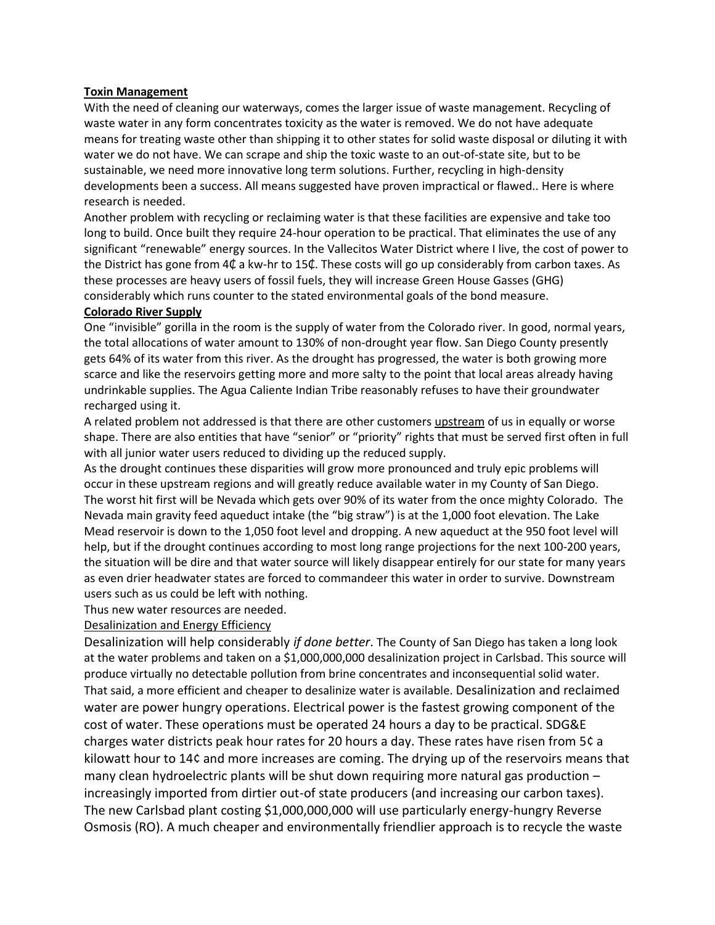## **Toxin Management**

With the need of cleaning our waterways, comes the larger issue of waste management. Recycling of waste water in any form concentrates toxicity as the water is removed. We do not have adequate means for treating waste other than shipping it to other states for solid waste disposal or diluting it with water we do not have. We can scrape and ship the toxic waste to an out-of-state site, but to be sustainable, we need more innovative long term solutions. Further, recycling in high-density developments been a success. All means suggested have proven impractical or flawed.. Here is where research is needed.

Another problem with recycling or reclaiming water is that these facilities are expensive and take too long to build. Once built they require 24-hour operation to be practical. That eliminates the use of any significant "renewable" energy sources. In the Vallecitos Water District where I live, the cost of power to the District has gone from 4₵ a kw-hr to 15₵. These costs will go up considerably from carbon taxes. As these processes are heavy users of fossil fuels, they will increase Green House Gasses (GHG) considerably which runs counter to the stated environmental goals of the bond measure.

## **Colorado River Supply**

One "invisible" gorilla in the room is the supply of water from the Colorado river. In good, normal years, the total allocations of water amount to 130% of non-drought year flow. San Diego County presently gets 64% of its water from this river. As the drought has progressed, the water is both growing more scarce and like the reservoirs getting more and more salty to the point that local areas already having undrinkable supplies. The Agua Caliente Indian Tribe reasonably refuses to have their groundwater recharged using it.

A related problem not addressed is that there are other customers upstream of us in equally or worse shape. There are also entities that have "senior" or "priority" rights that must be served first often in full with all junior water users reduced to dividing up the reduced supply.

As the drought continues these disparities will grow more pronounced and truly epic problems will occur in these upstream regions and will greatly reduce available water in my County of San Diego. The worst hit first will be Nevada which gets over 90% of its water from the once mighty Colorado. The Nevada main gravity feed aqueduct intake (the "big straw") is at the 1,000 foot elevation. The Lake Mead reservoir is down to the 1,050 foot level and dropping. A new aqueduct at the 950 foot level will help, but if the drought continues according to most long range projections for the next 100-200 years, the situation will be dire and that water source will likely disappear entirely for our state for many years as even drier headwater states are forced to commandeer this water in order to survive. Downstream users such as us could be left with nothing.

Thus new water resources are needed.

Desalinization and Energy Efficiency

Desalinization will help considerably *if done better*. The County of San Diego has taken a long look at the water problems and taken on a \$1,000,000,000 desalinization project in Carlsbad. This source will produce virtually no detectable pollution from brine concentrates and inconsequential solid water. That said, a more efficient and cheaper to desalinize water is available. Desalinization and reclaimed water are power hungry operations. Electrical power is the fastest growing component of the cost of water. These operations must be operated 24 hours a day to be practical. SDG&E charges water districts peak hour rates for 20 hours a day. These rates have risen from 5¢ a kilowatt hour to 14¢ and more increases are coming. The drying up of the reservoirs means that many clean hydroelectric plants will be shut down requiring more natural gas production – increasingly imported from dirtier out-of state producers (and increasing our carbon taxes). The new Carlsbad plant costing \$1,000,000,000 will use particularly energy-hungry Reverse Osmosis (RO). A much cheaper and environmentally friendlier approach is to recycle the waste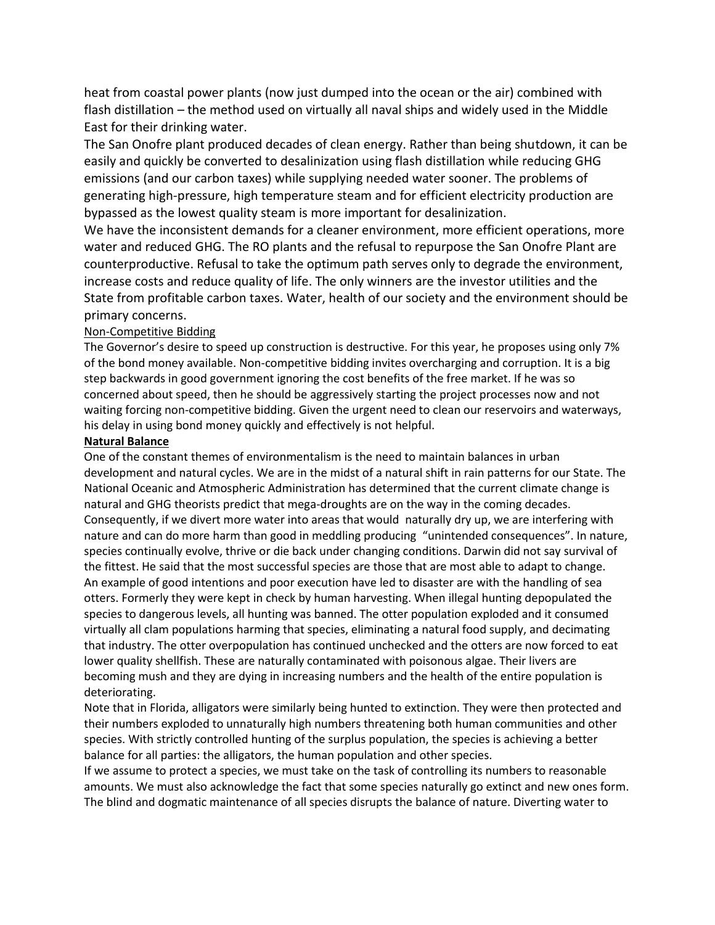heat from coastal power plants (now just dumped into the ocean or the air) combined with flash distillation – the method used on virtually all naval ships and widely used in the Middle East for their drinking water.

The San Onofre plant produced decades of clean energy. Rather than being shutdown, it can be easily and quickly be converted to desalinization using flash distillation while reducing GHG emissions (and our carbon taxes) while supplying needed water sooner. The problems of generating high-pressure, high temperature steam and for efficient electricity production are bypassed as the lowest quality steam is more important for desalinization.

We have the inconsistent demands for a cleaner environment, more efficient operations, more water and reduced GHG. The RO plants and the refusal to repurpose the San Onofre Plant are counterproductive. Refusal to take the optimum path serves only to degrade the environment, increase costs and reduce quality of life. The only winners are the investor utilities and the State from profitable carbon taxes. Water, health of our society and the environment should be primary concerns.

# Non-Competitive Bidding

The Governor's desire to speed up construction is destructive. For this year, he proposes using only 7% of the bond money available. Non-competitive bidding invites overcharging and corruption. It is a big step backwards in good government ignoring the cost benefits of the free market. If he was so concerned about speed, then he should be aggressively starting the project processes now and not waiting forcing non-competitive bidding. Given the urgent need to clean our reservoirs and waterways, his delay in using bond money quickly and effectively is not helpful.

## **Natural Balance**

One of the constant themes of environmentalism is the need to maintain balances in urban development and natural cycles. We are in the midst of a natural shift in rain patterns for our State. The National Oceanic and Atmospheric Administration has determined that the current climate change is natural and GHG theorists predict that mega-droughts are on the way in the coming decades. Consequently, if we divert more water into areas that would naturally dry up, we are interfering with nature and can do more harm than good in meddling producing "unintended consequences". In nature, species continually evolve, thrive or die back under changing conditions. Darwin did not say survival of the fittest. He said that the most successful species are those that are most able to adapt to change. An example of good intentions and poor execution have led to disaster are with the handling of sea otters. Formerly they were kept in check by human harvesting. When illegal hunting depopulated the species to dangerous levels, all hunting was banned. The otter population exploded and it consumed virtually all clam populations harming that species, eliminating a natural food supply, and decimating that industry. The otter overpopulation has continued unchecked and the otters are now forced to eat lower quality shellfish. These are naturally contaminated with poisonous algae. Their livers are becoming mush and they are dying in increasing numbers and the health of the entire population is deteriorating.

Note that in Florida, alligators were similarly being hunted to extinction. They were then protected and their numbers exploded to unnaturally high numbers threatening both human communities and other species. With strictly controlled hunting of the surplus population, the species is achieving a better balance for all parties: the alligators, the human population and other species.

If we assume to protect a species, we must take on the task of controlling its numbers to reasonable amounts. We must also acknowledge the fact that some species naturally go extinct and new ones form. The blind and dogmatic maintenance of all species disrupts the balance of nature. Diverting water to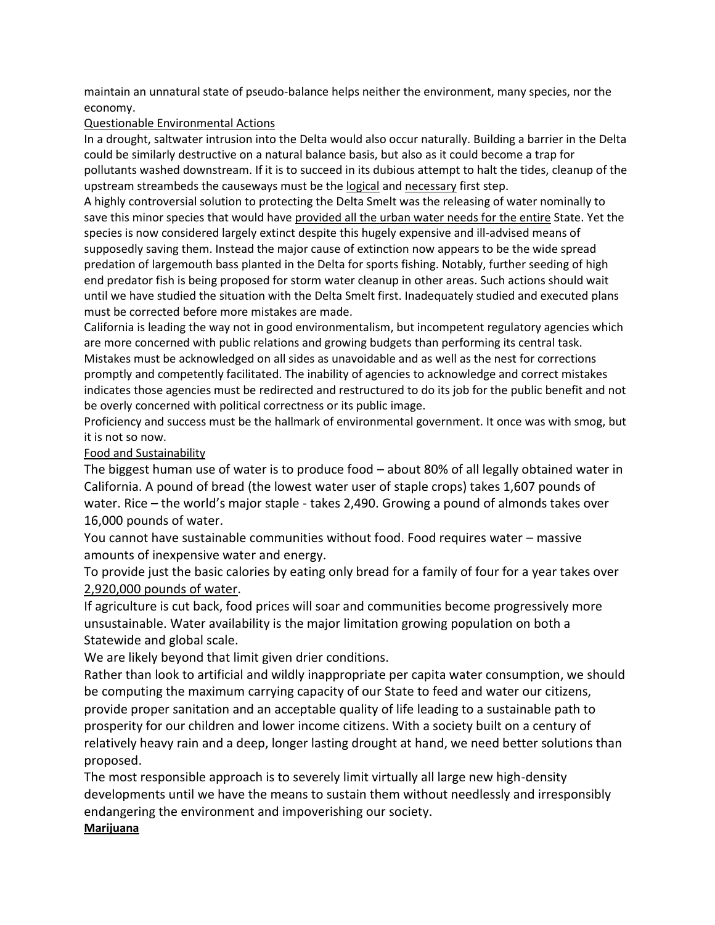maintain an unnatural state of pseudo-balance helps neither the environment, many species, nor the economy.

## Questionable Environmental Actions

In a drought, saltwater intrusion into the Delta would also occur naturally. Building a barrier in the Delta could be similarly destructive on a natural balance basis, but also as it could become a trap for pollutants washed downstream. If it is to succeed in its dubious attempt to halt the tides, cleanup of the upstream streambeds the causeways must be the logical and necessary first step.

A highly controversial solution to protecting the Delta Smelt was the releasing of water nominally to save this minor species that would have provided all the urban water needs for the entire State. Yet the species is now considered largely extinct despite this hugely expensive and ill-advised means of supposedly saving them. Instead the major cause of extinction now appears to be the wide spread predation of largemouth bass planted in the Delta for sports fishing. Notably, further seeding of high end predator fish is being proposed for storm water cleanup in other areas. Such actions should wait until we have studied the situation with the Delta Smelt first. Inadequately studied and executed plans must be corrected before more mistakes are made.

California is leading the way not in good environmentalism, but incompetent regulatory agencies which are more concerned with public relations and growing budgets than performing its central task. Mistakes must be acknowledged on all sides as unavoidable and as well as the nest for corrections promptly and competently facilitated. The inability of agencies to acknowledge and correct mistakes indicates those agencies must be redirected and restructured to do its job for the public benefit and not be overly concerned with political correctness or its public image.

Proficiency and success must be the hallmark of environmental government. It once was with smog, but it is not so now.

# Food and Sustainability

The biggest human use of water is to produce food – about 80% of all legally obtained water in California. A pound of bread (the lowest water user of staple crops) takes 1,607 pounds of water. Rice – the world's major staple - takes 2,490. Growing a pound of almonds takes over 16,000 pounds of water.

You cannot have sustainable communities without food. Food requires water – massive amounts of inexpensive water and energy.

To provide just the basic calories by eating only bread for a family of four for a year takes over 2,920,000 pounds of water.

If agriculture is cut back, food prices will soar and communities become progressively more unsustainable. Water availability is the major limitation growing population on both a Statewide and global scale.

We are likely beyond that limit given drier conditions.

Rather than look to artificial and wildly inappropriate per capita water consumption, we should be computing the maximum carrying capacity of our State to feed and water our citizens, provide proper sanitation and an acceptable quality of life leading to a sustainable path to prosperity for our children and lower income citizens. With a society built on a century of relatively heavy rain and a deep, longer lasting drought at hand, we need better solutions than proposed.

The most responsible approach is to severely limit virtually all large new high-density developments until we have the means to sustain them without needlessly and irresponsibly endangering the environment and impoverishing our society.

# **Marijuana**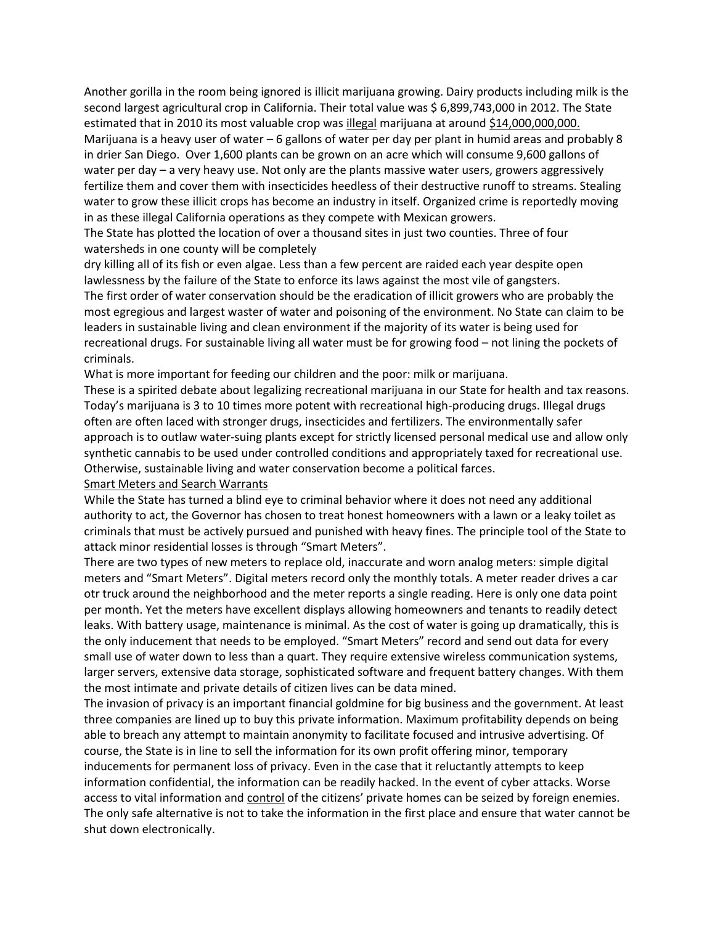Another gorilla in the room being ignored is illicit marijuana growing. Dairy products including milk is the second largest agricultural crop in California. Their total value was \$ 6,899,743,000 in 2012. The State estimated that in 2010 its most valuable crop was illegal marijuana at around \$14,000,000,000. Marijuana is a heavy user of water – 6 gallons of water per day per plant in humid areas and probably 8 in drier San Diego. Over 1,600 plants can be grown on an acre which will consume 9,600 gallons of water per day – a very heavy use. Not only are the plants massive water users, growers aggressively fertilize them and cover them with insecticides heedless of their destructive runoff to streams. Stealing water to grow these illicit crops has become an industry in itself. Organized crime is reportedly moving in as these illegal California operations as they compete with Mexican growers.

The State has plotted the location of over a thousand sites in just two counties. Three of four watersheds in one county will be completely

dry killing all of its fish or even algae. Less than a few percent are raided each year despite open lawlessness by the failure of the State to enforce its laws against the most vile of gangsters.

The first order of water conservation should be the eradication of illicit growers who are probably the most egregious and largest waster of water and poisoning of the environment. No State can claim to be leaders in sustainable living and clean environment if the majority of its water is being used for recreational drugs. For sustainable living all water must be for growing food – not lining the pockets of criminals.

What is more important for feeding our children and the poor: milk or marijuana.

These is a spirited debate about legalizing recreational marijuana in our State for health and tax reasons. Today's marijuana is 3 to 10 times more potent with recreational high-producing drugs. Illegal drugs often are often laced with stronger drugs, insecticides and fertilizers. The environmentally safer approach is to outlaw water-suing plants except for strictly licensed personal medical use and allow only synthetic cannabis to be used under controlled conditions and appropriately taxed for recreational use. Otherwise, sustainable living and water conservation become a political farces.

#### Smart Meters and Search Warrants

While the State has turned a blind eye to criminal behavior where it does not need any additional authority to act, the Governor has chosen to treat honest homeowners with a lawn or a leaky toilet as criminals that must be actively pursued and punished with heavy fines. The principle tool of the State to attack minor residential losses is through "Smart Meters".

There are two types of new meters to replace old, inaccurate and worn analog meters: simple digital meters and "Smart Meters". Digital meters record only the monthly totals. A meter reader drives a car otr truck around the neighborhood and the meter reports a single reading. Here is only one data point per month. Yet the meters have excellent displays allowing homeowners and tenants to readily detect leaks. With battery usage, maintenance is minimal. As the cost of water is going up dramatically, this is the only inducement that needs to be employed. "Smart Meters" record and send out data for every small use of water down to less than a quart. They require extensive wireless communication systems, larger servers, extensive data storage, sophisticated software and frequent battery changes. With them the most intimate and private details of citizen lives can be data mined.

The invasion of privacy is an important financial goldmine for big business and the government. At least three companies are lined up to buy this private information. Maximum profitability depends on being able to breach any attempt to maintain anonymity to facilitate focused and intrusive advertising. Of course, the State is in line to sell the information for its own profit offering minor, temporary inducements for permanent loss of privacy. Even in the case that it reluctantly attempts to keep information confidential, the information can be readily hacked. In the event of cyber attacks. Worse access to vital information and control of the citizens' private homes can be seized by foreign enemies. The only safe alternative is not to take the information in the first place and ensure that water cannot be shut down electronically.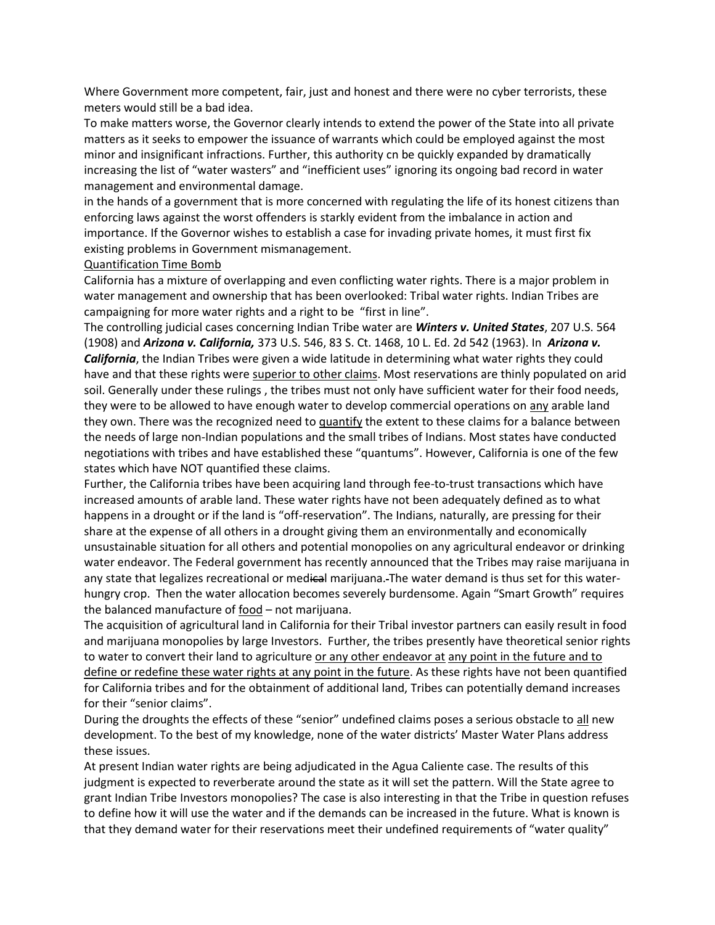Where Government more competent, fair, just and honest and there were no cyber terrorists, these meters would still be a bad idea.

To make matters worse, the Governor clearly intends to extend the power of the State into all private matters as it seeks to empower the issuance of warrants which could be employed against the most minor and insignificant infractions. Further, this authority cn be quickly expanded by dramatically increasing the list of "water wasters" and "inefficient uses" ignoring its ongoing bad record in water management and environmental damage.

in the hands of a government that is more concerned with regulating the life of its honest citizens than enforcing laws against the worst offenders is starkly evident from the imbalance in action and importance. If the Governor wishes to establish a case for invading private homes, it must first fix existing problems in Government mismanagement.

## Quantification Time Bomb

California has a mixture of overlapping and even conflicting water rights. There is a major problem in water management and ownership that has been overlooked: Tribal water rights. Indian Tribes are campaigning for more water rights and a right to be "first in line".

The controlling judicial cases concerning Indian Tribe water are *Winters v. United States*, 207 U.S. 564 (1908) and *Arizona v. California,* 373 U.S. 546, 83 S. Ct. 1468, 10 L. Ed. 2d 542 (1963). In *Arizona v. California*, the Indian Tribes were given a wide latitude in determining what water rights they could have and that these rights were superior to other claims. Most reservations are thinly populated on arid soil. Generally under these rulings , the tribes must not only have sufficient water for their food needs, they were to be allowed to have enough water to develop commercial operations on any arable land they own. There was the recognized need to quantify the extent to these claims for a balance between the needs of large non-Indian populations and the small tribes of Indians. Most states have conducted negotiations with tribes and have established these "quantums". However, California is one of the few states which have NOT quantified these claims.

Further, the California tribes have been acquiring land through fee-to-trust transactions which have increased amounts of arable land. These water rights have not been adequately defined as to what happens in a drought or if the land is "off-reservation". The Indians, naturally, are pressing for their share at the expense of all others in a drought giving them an environmentally and economically unsustainable situation for all others and potential monopolies on any agricultural endeavor or drinking water endeavor. The Federal government has recently announced that the Tribes may raise marijuana in any state that legalizes recreational or medical marijuana. The water demand is thus set for this waterhungry crop. Then the water allocation becomes severely burdensome. Again "Smart Growth" requires the balanced manufacture of food – not marijuana.

The acquisition of agricultural land in California for their Tribal investor partners can easily result in food and marijuana monopolies by large Investors. Further, the tribes presently have theoretical senior rights to water to convert their land to agriculture or any other endeavor at any point in the future and to define or redefine these water rights at any point in the future. As these rights have not been quantified for California tribes and for the obtainment of additional land, Tribes can potentially demand increases for their "senior claims".

During the droughts the effects of these "senior" undefined claims poses a serious obstacle to all new development. To the best of my knowledge, none of the water districts' Master Water Plans address these issues.

At present Indian water rights are being adjudicated in the Agua Caliente case. The results of this judgment is expected to reverberate around the state as it will set the pattern. Will the State agree to grant Indian Tribe Investors monopolies? The case is also interesting in that the Tribe in question refuses to define how it will use the water and if the demands can be increased in the future. What is known is that they demand water for their reservations meet their undefined requirements of "water quality"